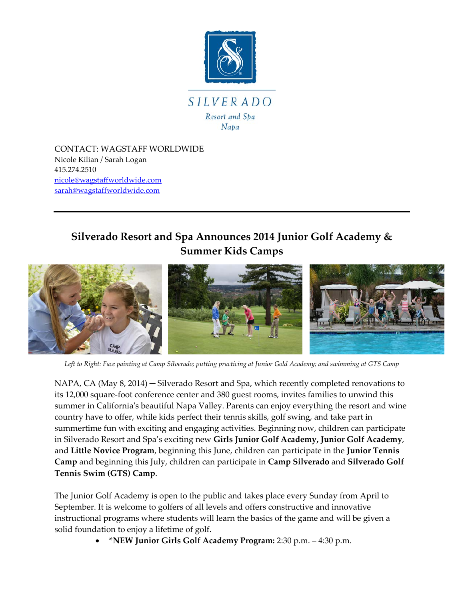

CONTACT: WAGSTAFF WORLDWIDE Nicole Kilian / Sarah Logan 415.274.2510 [nicole@wagstaffworldwide.com](mailto:nicole@wagstaffworldwide.com) [sarah@wagstaffworldwide.com](mailto:sarah@wagstaffworldwide.com)

## **Silverado Resort and Spa Announces 2014 Junior Golf Academy & Summer Kids Camps**



*Left to Right: Face painting at Camp Silverado; putting practicing at Junior Gold Academy; and swimming at GTS Camp*

NAPA, CA (May 8, 2014) – Silverado Resort and Spa, which recently completed renovations to its 12,000 square-foot conference center and 380 guest rooms, invites families to unwind this summer in California's beautiful Napa Valley. Parents can enjoy everything the resort and wine country have to offer, while kids perfect their tennis skills, golf swing, and take part in summertime fun with exciting and engaging activities. Beginning now, children can participate in Silverado Resort and Spa's exciting new **Girls Junior Golf Academy, Junior Golf Academy**, and **Little Novice Program**, beginning this June, children can participate in the **Junior Tennis Camp** and beginning this July, children can participate in **Camp Silverado** and **Silverado Golf Tennis Swim (GTS) Camp**.

The Junior Golf Academy is open to the public and takes place every Sunday from April to September. It is welcome to golfers of all levels and offers constructive and innovative instructional programs where students will learn the basics of the game and will be given a solid foundation to enjoy a lifetime of golf.

• **\*NEW Junior Girls Golf Academy Program:** 2:30 p.m. – 4:30 p.m.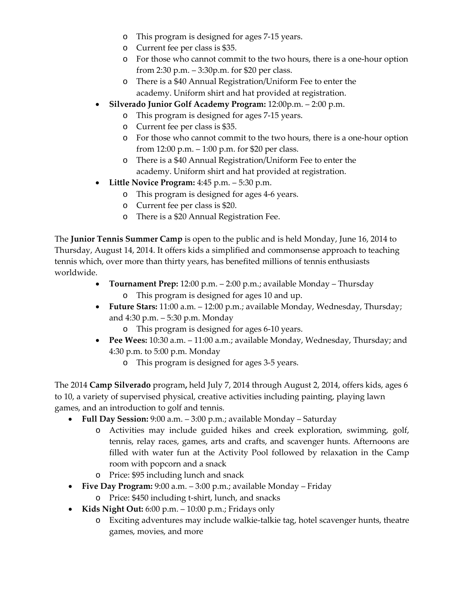- o This program is designed for ages 7-15 years.
- o Current fee per class is \$35.
- o For those who cannot commit to the two hours, there is a one-hour option from 2:30 p.m. – 3:30p.m. for \$20 per class.
- o There is a \$40 Annual Registration/Uniform Fee to enter the academy. Uniform shirt and hat provided at registration.
- **Silverado Junior Golf Academy Program:** 12:00p.m. 2:00 p.m.
	- o This program is designed for ages 7-15 years.
	- o Current fee per class is \$35.
	- o For those who cannot commit to the two hours, there is a one-hour option from 12:00 p.m. – 1:00 p.m. for \$20 per class.
	- o There is a \$40 Annual Registration/Uniform Fee to enter the academy. Uniform shirt and hat provided at registration.
- **Little Novice Program:** 4:45 p.m. 5:30 p.m.
	- o This program is designed for ages 4-6 years.
	- o Current fee per class is \$20.
	- o There is a \$20 Annual Registration Fee.

The **Junior Tennis Summer Camp** is open to the public and is held Monday, June 16, 2014 to Thursday, August 14, 2014. It offers kids a simplified and commonsense approach to teaching tennis which, over more than thirty years, has benefited millions of tennis enthusiasts worldwide.

- **Tournament Prep:** 12:00 p.m. 2:00 p.m.; available Monday Thursday
	- o This program is designed for ages 10 and up.
- **Future Stars:** 11:00 a.m. 12:00 p.m.; available Monday, Wednesday, Thursday; and 4:30 p.m. – 5:30 p.m. Monday
	- o This program is designed for ages 6-10 years.
- **Pee Wees:** 10:30 a.m. 11:00 a.m.; available Monday, Wednesday, Thursday; and 4:30 p.m. to 5:00 p.m. Monday
	- o This program is designed for ages 3-5 years.

The 2014 **Camp Silverado** program**,** held July 7, 2014 through August 2, 2014, offers kids, ages 6 to 10, a variety of supervised physical, creative activities including painting, playing lawn games, and an introduction to golf and tennis.

- **Full Day Session:** 9:00 a.m. 3:00 p.m.; available Monday Saturday
	- o Activities may include guided hikes and creek exploration, swimming, golf, tennis, relay races, games, arts and crafts, and scavenger hunts. Afternoons are filled with water fun at the Activity Pool followed by relaxation in the Camp room with popcorn and a snack
	- o Price: \$95 including lunch and snack
- **Five Day Program:** 9:00 a.m. 3:00 p.m.; available Monday Friday o Price: \$450 including t-shirt, lunch, and snacks
- **Kids Night Out:** 6:00 p.m. 10:00 p.m.; Fridays only
	- o Exciting adventures may include walkie-talkie tag, hotel scavenger hunts, theatre games, movies, and more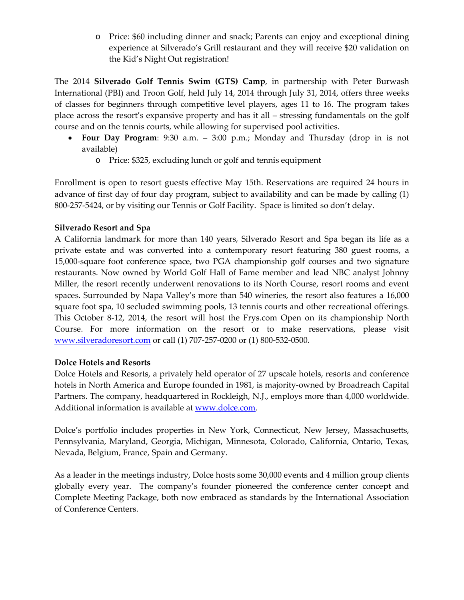o Price: \$60 including dinner and snack; Parents can enjoy and exceptional dining experience at Silverado's Grill restaurant and they will receive \$20 validation on the Kid's Night Out registration!

The 2014 **Silverado Golf Tennis Swim (GTS) Camp**, in partnership with Peter Burwash International (PBI) and Troon Golf, held July 14, 2014 through July 31, 2014, offers three weeks of classes for beginners through competitive level players, ages 11 to 16. The program takes place across the resort's expansive property and has it all – stressing fundamentals on the golf course and on the tennis courts, while allowing for supervised pool activities.

- **Four Day Program**: 9:30 a.m. 3:00 p.m.; Monday and Thursday (drop in is not available)
	- o Price: \$325, excluding lunch or golf and tennis equipment

Enrollment is open to resort guests effective May 15th. Reservations are required 24 hours in advance of first day of four day program, subject to availability and can be made by calling (1) 800-257-5424, or by visiting our Tennis or Golf Facility. Space is limited so don't delay.

## **Silverado Resort and Spa**

A California landmark for more than 140 years, Silverado Resort and Spa began its life as a private estate and was converted into a contemporary resort featuring 380 guest rooms, a 15,000-square foot conference space, two PGA championship golf courses and two signature restaurants. Now owned by World Golf Hall of Fame member and lead NBC analyst Johnny Miller, the resort recently underwent renovations to its North Course, resort rooms and event spaces. Surrounded by Napa Valley's more than 540 wineries, the resort also features a 16,000 square foot spa, 10 secluded swimming pools, 13 tennis courts and other recreational offerings. This October 8-12, 2014, the resort will host the Frys.com Open on its championship North Course. For more information on the resort or to make reservations, please visit [www.silveradoresort.com](http://www.silveradoresort.com/) or call (1) 707-257-0200 or (1) 800-532-0500.

## **Dolce Hotels and Resorts**

Dolce Hotels and Resorts, a privately held operator of 27 upscale hotels, resorts and conference hotels in North America and Europe founded in 1981, is majority-owned by Broadreach Capital Partners. The company, headquartered in Rockleigh, N.J., employs more than 4,000 worldwide. Additional information is available at [www.dolce.com.](http://www.dolce.com/)

Dolce's portfolio includes properties in New York, Connecticut, New Jersey, Massachusetts, Pennsylvania, Maryland, Georgia, Michigan, Minnesota, Colorado, California, Ontario, Texas, Nevada, Belgium, France, Spain and Germany.

As a leader in the meetings industry, Dolce hosts some 30,000 events and 4 million group clients globally every year. The company's founder pioneered the conference center concept and Complete Meeting Package, both now embraced as standards by the International Association of Conference Centers.